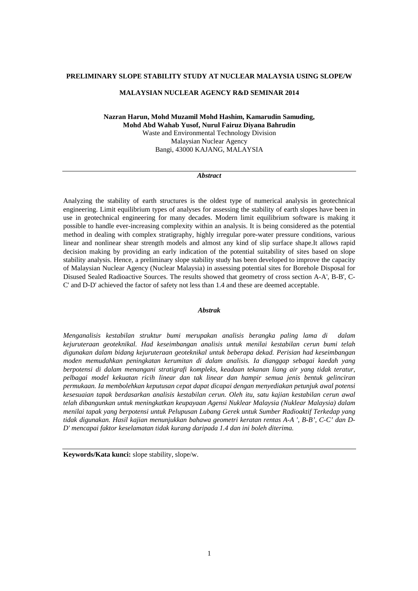#### **PRELIMINARY SLOPE STABILITY STUDY AT NUCLEAR MALAYSIA USING SLOPE/W**

## **MALAYSIAN NUCLEAR AGENCY R&D SEMINAR 2014**

**Nazran Harun, Mohd Muzamil Mohd Hashim, Kamarudin Samuding, Mohd Abd Wahab Yusof, Nurul Fairuz Diyana Bahrudin**  Waste and Environmental Technology Division Malaysian Nuclear Agency Bangi, 43000 KAJANG, MALAYSIA

#### *Abstract*

Analyzing the stability of earth structures is the oldest type of numerical analysis in geotechnical engineering. Limit equilibrium types of analyses for assessing the stability of earth slopes have been in use in geotechnical engineering for many decades. Modern limit equilibrium software is making it possible to handle ever-increasing complexity within an analysis. It is being considered as the potential method in dealing with complex stratigraphy, highly irregular pore-water pressure conditions, various linear and nonlinear shear strength models and almost any kind of slip surface shape.It allows rapid decision making by providing an early indication of the potential suitability of sites based on slope stability analysis. Hence, a preliminary slope stability study has been developed to improve the capacity of Malaysian Nuclear Agency (Nuclear Malaysia) in assessing potential sites for Borehole Disposal for Disused Sealed Radioactive Sources. The results showed that geometry of cross section A-A', B-B', C-C' and D-D' achieved the factor of safety not less than 1.4 and these are deemed acceptable.

#### *Abstrak*

*Menganalisis kestabilan struktur bumi merupakan analisis berangka paling lama di dalam kejuruteraan geoteknikal. Had keseimbangan analisis untuk menilai kestabilan cerun bumi telah digunakan dalam bidang kejuruteraan geoteknikal untuk beberapa dekad. Perisian had keseimbangan moden memudahkan peningkatan kerumitan di dalam analisis. Ia dianggap sebagai kaedah yang berpotensi di dalam menangani stratigrafi kompleks, keadaan tekanan liang air yang tidak teratur, pelbagai model kekuatan ricih linear dan tak linear dan hampir semua jenis bentuk gelinciran permukaan. Ia membolehkan keputusan cepat dapat dicapai dengan menyediakan petunjuk awal potensi kesesuaian tapak berdasarkan analisis kestabilan cerun. Oleh itu, satu kajian kestabilan cerun awal telah dibangunkan untuk meningkatkan keupayaan Agensi Nuklear Malaysia (Nuklear Malaysia) dalam menilai tapak yang berpotensi untuk Pelupusan Lubang Gerek untuk Sumber Radioaktif Terkedap yang tidak digunakan. Hasil kajian menunjukkan bahawa geometri keratan rentas A-A ', B-B', C-C' dan D-D' mencapai faktor keselamatan tidak kurang daripada 1.4 dan ini boleh diterima.* 

**Keywords/Kata kunci:** slope stability, slope/w.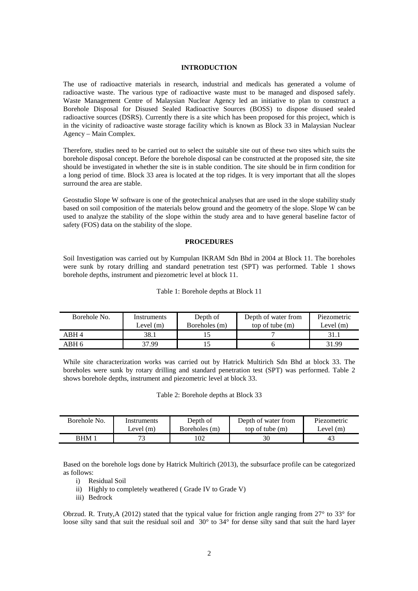# **INTRODUCTION**

The use of radioactive materials in research, industrial and medicals has generated a volume of radioactive waste. The various type of radioactive waste must to be managed and disposed safely. Waste Management Centre of Malaysian Nuclear Agency led an initiative to plan to construct a Borehole Disposal for Disused Sealed Radioactive Sources (BOSS) to dispose disused sealed radioactive sources (DSRS). Currently there is a site which has been proposed for this project, which is in the vicinity of radioactive waste storage facility which is known as Block 33 in Malaysian Nuclear Agency – Main Complex.

Therefore, studies need to be carried out to select the suitable site out of these two sites which suits the borehole disposal concept. Before the borehole disposal can be constructed at the proposed site, the site should be investigated in whether the site is in stable condition. The site should be in firm condition for a long period of time. Block 33 area is located at the top ridges. It is very important that all the slopes surround the area are stable.

Geostudio Slope W software is one of the geotechnical analyses that are used in the slope stability study based on soil composition of the materials below ground and the geometry of the slope. Slope W can be used to analyze the stability of the slope within the study area and to have general baseline factor of safety (FOS) data on the stability of the slope.

#### **PROCEDURES**

Soil Investigation was carried out by Kumpulan IKRAM Sdn Bhd in 2004 at Block 11. The boreholes were sunk by rotary drilling and standard penetration test (SPT) was performed. Table 1 shows borehole depths, instrument and piezometric level at block 11.

| Borehole No. | Instruments<br>Level $(m)$ | Depth of<br>Boreholes (m) | Depth of water from<br>top of tube $(m)$ | Piezometric<br>Level $(m)$ |
|--------------|----------------------------|---------------------------|------------------------------------------|----------------------------|
| ARH 4        | 38.1                       |                           |                                          | 31.1                       |
| ABH 6        | 37.99                      |                           |                                          | 31.99                      |

Table 1: Borehole depths at Block 11

While site characterization works was carried out by Hatrick Multirich Sdn Bhd at block 33. The boreholes were sunk by rotary drilling and standard penetration test (SPT) was performed. Table 2 shows borehole depths, instrument and piezometric level at block 33.

Table 2: Borehole depths at Block 33

| Borehole No. | Instruments | Depth of      | Depth of water from | Piezometric |
|--------------|-------------|---------------|---------------------|-------------|
|              | Level $(m)$ | Boreholes (m) | top of tube $(m)$   | Level $(m)$ |
| <b>RHM</b>   | רת          |               |                     | 43          |

Based on the borehole logs done by Hatrick Multirich (2013), the subsurface profile can be categorized as follows:

- i) Residual Soil
- ii) Highly to completely weathered ( Grade IV to Grade V)
- iii) Bedrock

Obrzud. R. Truty,A (2012) stated that the typical value for friction angle ranging from  $27^{\circ}$  to  $33^{\circ}$  for loose silty sand that suit the residual soil and 30° to 34° for dense silty sand that suit the hard layer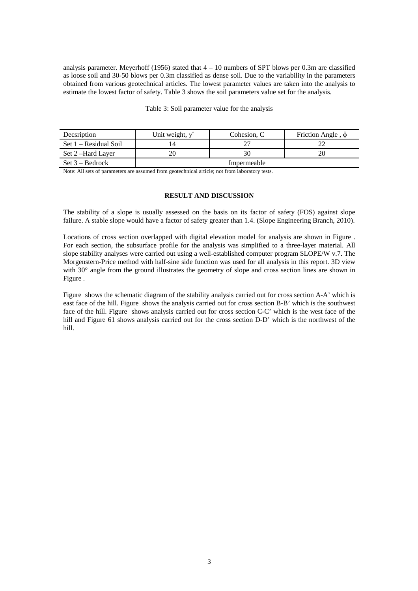analysis parameter. Meyerhoff (1956) stated that  $4 - 10$  numbers of SPT blows per 0.3m are classified as loose soil and 30-50 blows per 0.3m classified as dense soil. Due to the variability in the parameters obtained from various geotechnical articles. The lowest parameter values are taken into the analysis to estimate the lowest factor of safety. Table 3 shows the soil parameters value set for the analysis.

#### Table 3: Soil parameter value for the analysis

| Decsription             | Unit weight, $\sqrt{}$ | Cohesion, C | Friction Angle, $\phi$ |
|-------------------------|------------------------|-------------|------------------------|
| $Set 1 - Residual Soil$ | $\overline{4}$         |             |                        |
| Set 2-Hard Layer        |                        |             |                        |
| $Set 3 - Bedrock$       | Impermeable            |             |                        |

Note: All sets of parameters are assumed from geotechnical article; not from laboratory tests.

### **RESULT AND DISCUSSION**

The stability of a slope is usually assessed on the basis on its factor of safety (FOS) against slope failure. A stable slope would have a factor of safety greater than 1.4. (Slope Engineering Branch, 2010).

Locations of cross section overlapped with digital elevation model for analysis are shown in Figure . For each section, the subsurface profile for the analysis was simplified to a three-layer material. All slope stability analyses were carried out using a well-established computer program SLOPE/W v.7. The Morgenstern-Price method with half-sine side function was used for all analysis in this report. 3D view with 30° angle from the ground illustrates the geometry of slope and cross section lines are shown in Figure .

Figure shows the schematic diagram of the stability analysis carried out for cross section A-A' which is east face of the hill. Figure shows the analysis carried out for cross section B-B' which is the southwest face of the hill. Figure shows analysis carried out for cross section C-C' which is the west face of the hill and Figure 61 shows analysis carried out for the cross section D-D' which is the northwest of the hill.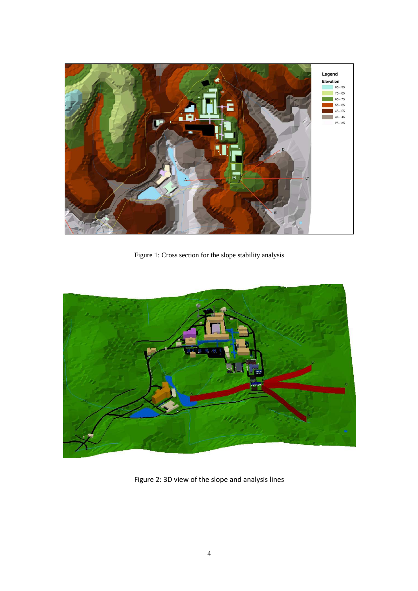

Figure 1: Cross section for the slope stability analysis



Figure 2: 3D view of the slope and analysis lines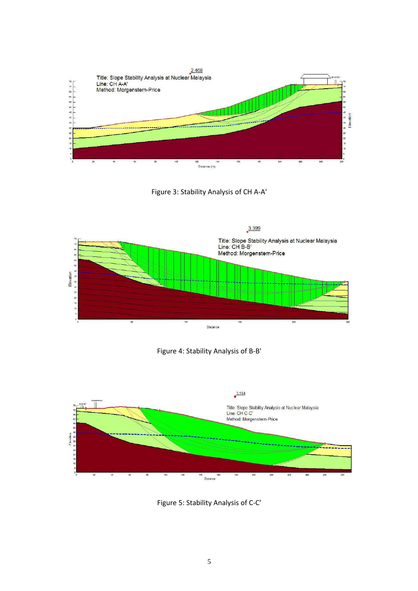

Figure 3: Stability Analysis of CH A-A'







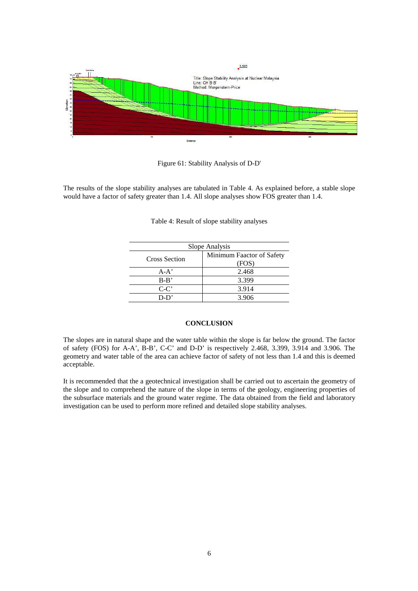

Figure 61: Stability Analysis of D-D'

The results of the slope stability analyses are tabulated in Table 4. As explained before, a stable slope would have a factor of safety greater than 1.4. All slope analyses show FOS greater than 1.4.

| Slope Analysis                     |  |  |  |  |
|------------------------------------|--|--|--|--|
| Minimum Faactor of Safety<br>(FOS) |  |  |  |  |
| 2.468                              |  |  |  |  |
| 3.399                              |  |  |  |  |
| 3.914                              |  |  |  |  |
| 3.906                              |  |  |  |  |
|                                    |  |  |  |  |

Table 4: Result of slope stability analyses

#### **CONCLUSION**

The slopes are in natural shape and the water table within the slope is far below the ground. The factor of safety (FOS) for A-A', B-B', C-C' and D-D' is respectively 2.468, 3.399, 3.914 and 3.906. The geometry and water table of the area can achieve factor of safety of not less than 1.4 and this is deemed acceptable.

It is recommended that the a geotechnical investigation shall be carried out to ascertain the geometry of the slope and to comprehend the nature of the slope in terms of the geology, engineering properties of the subsurface materials and the ground water regime. The data obtained from the field and laboratory investigation can be used to perform more refined and detailed slope stability analyses.